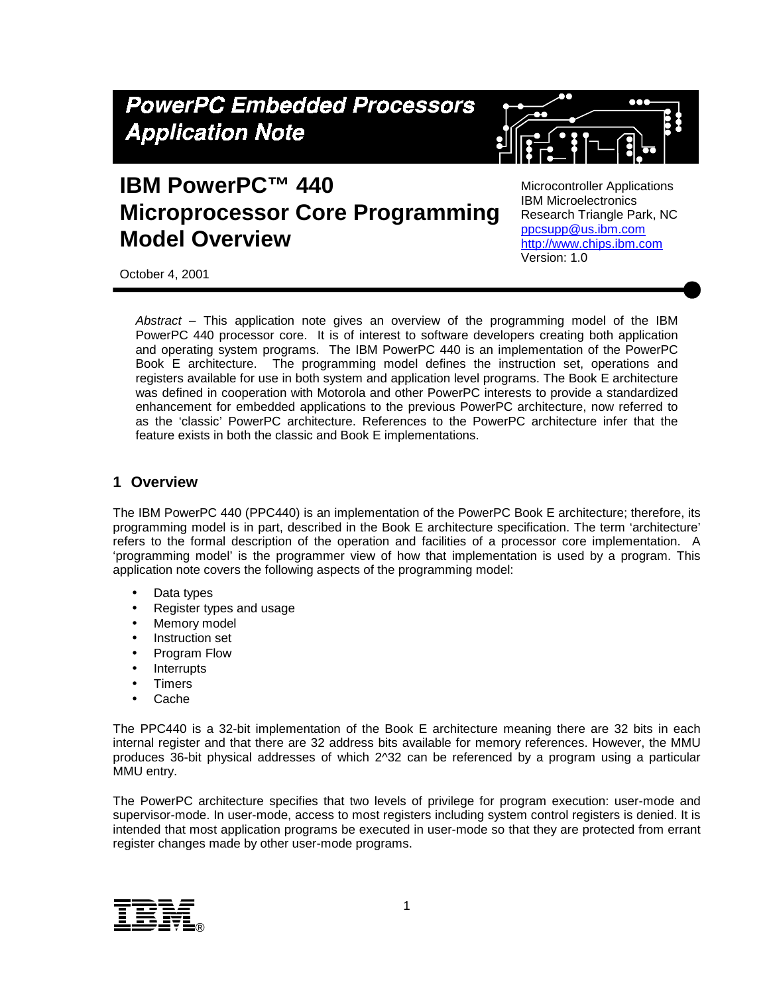# **PowerPC Embedded Processors Application Note**

# **IBM PowerPC™ 440 Microprocessor Core Programming Model Overview**

Microcontroller Applications IBM Microelectronics Research Triangle Park, NC [ppcsupp@us.ibm.com](http://www.chips.ibm.com/) http://www.chips.ibm.com Version: 1.0

October 4, 2001

*Abstract* – This application note gives an overview of the programming model of the IBM PowerPC 440 processor core. It is of interest to software developers creating both application and operating system programs. The IBM PowerPC 440 is an implementation of the PowerPC Book E architecture. The programming model defines the instruction set, operations and registers available for use in both system and application level programs. The Book E architecture was defined in cooperation with Motorola and other PowerPC interests to provide a standardized enhancement for embedded applications to the previous PowerPC architecture, now referred to as the 'classic' PowerPC architecture. References to the PowerPC architecture infer that the feature exists in both the classic and Book E implementations.

#### **1 Overview**

The IBM PowerPC 440 (PPC440) is an implementation of the PowerPC Book E architecture; therefore, its programming model is in part, described in the Book E architecture specification. The term 'architecture' refers to the formal description of the operation and facilities of a processor core implementation. A 'programming model' is the programmer view of how that implementation is used by a program. This application note covers the following aspects of the programming model:

- Data types
- Register types and usage
- Memory model
- Instruction set
- Program Flow
- **Interrupts**
- **Timers**
- Cache

The PPC440 is a 32-bit implementation of the Book E architecture meaning there are 32 bits in each internal register and that there are 32 address bits available for memory references. However, the MMU produces 36-bit physical addresses of which 2^32 can be referenced by a program using a particular MMU entry.

The PowerPC architecture specifies that two levels of privilege for program execution: user-mode and supervisor-mode. In user-mode, access to most registers including system control registers is denied. It is intended that most application programs be executed in user-mode so that they are protected from errant register changes made by other user-mode programs.

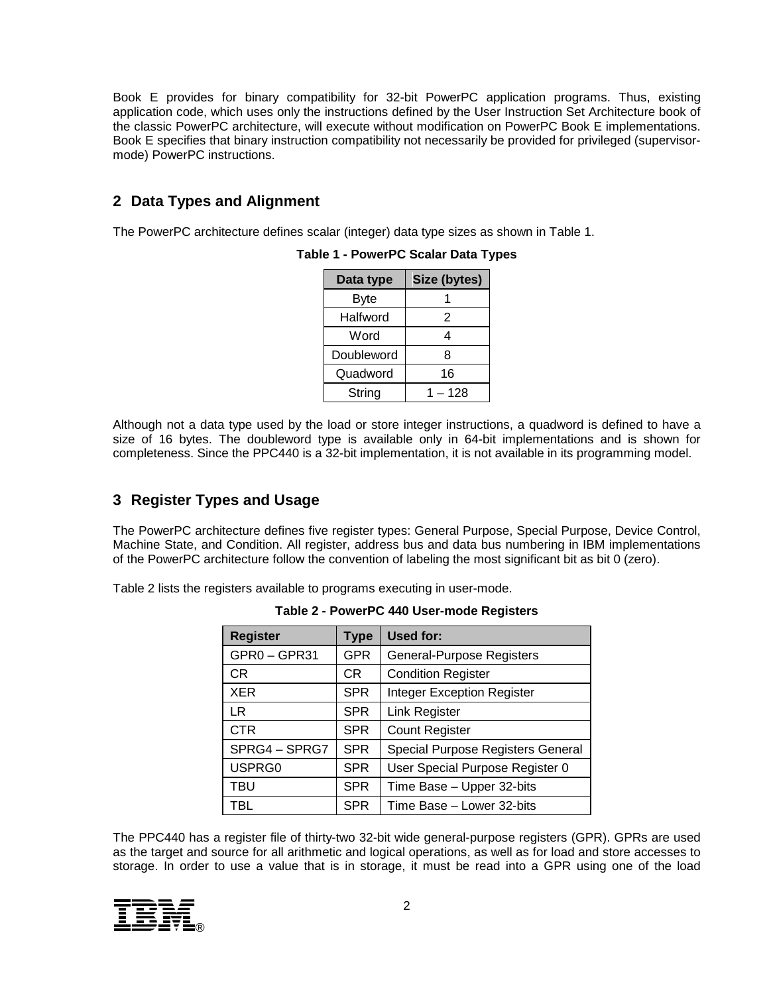Book E provides for binary compatibility for 32-bit PowerPC application programs. Thus, existing application code, which uses only the instructions defined by the User Instruction Set Architecture book of the classic PowerPC architecture, will execute without modification on PowerPC Book E implementations. Book E specifies that binary instruction compatibility not necessarily be provided for privileged (supervisormode) PowerPC instructions.

# **2 Data Types and Alignment**

The PowerPC architecture defines scalar (integer) data type sizes as shown in Table 1.

| Data type  | Size (bytes) |
|------------|--------------|
| Byte       |              |
| Halfword   | 2            |
| Word       |              |
| Doubleword | 8            |
| Quadword   | 16           |
| String     | 1 – 128      |

**Table 1 - PowerPC Scalar Data Types**

Although not a data type used by the load or store integer instructions, a quadword is defined to have a size of 16 bytes. The doubleword type is available only in 64-bit implementations and is shown for completeness. Since the PPC440 is a 32-bit implementation, it is not available in its programming model.

# **3 Register Types and Usage**

The PowerPC architecture defines five register types: General Purpose, Special Purpose, Device Control, Machine State, and Condition. All register, address bus and data bus numbering in IBM implementations of the PowerPC architecture follow the convention of labeling the most significant bit as bit 0 (zero).

Table 2 lists the registers available to programs executing in user-mode.

| <b>Register</b> | <b>Type</b> | <b>Used for:</b>                  |
|-----------------|-------------|-----------------------------------|
| GPR0-GPR31      | <b>GPR</b>  | General-Purpose Registers         |
| CR.             | CR          | <b>Condition Register</b>         |
| <b>XER</b>      | <b>SPR</b>  | <b>Integer Exception Register</b> |
| LR              | <b>SPR</b>  | <b>Link Register</b>              |
| <b>CTR</b>      | <b>SPR</b>  | <b>Count Register</b>             |
| SPRG4 - SPRG7   | <b>SPR</b>  | Special Purpose Registers General |
| USPRG0          | <b>SPR</b>  | User Special Purpose Register 0   |
| <b>TBU</b>      | <b>SPR</b>  | Time Base - Upper 32-bits         |
| TBL             | <b>SPR</b>  | Time Base - Lower 32-bits         |

**Table 2 - PowerPC 440 User-mode Registers**

The PPC440 has a register file of thirty-two 32-bit wide general-purpose registers (GPR). GPRs are used as the target and source for all arithmetic and logical operations, as well as for load and store accesses to storage. In order to use a value that is in storage, it must be read into a GPR using one of the load

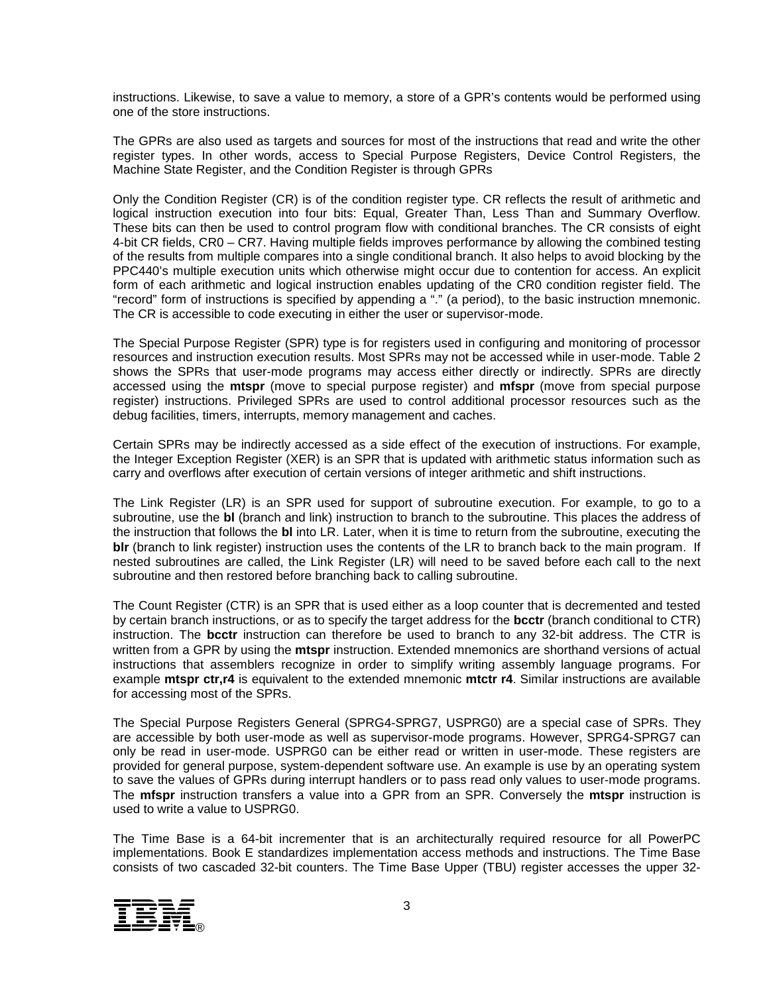instructions. Likewise, to save a value to memory, a store of a GPR's contents would be performed using one of the store instructions.

The GPRs are also used as targets and sources for most of the instructions that read and write the other register types. In other words, access to Special Purpose Registers, Device Control Registers, the Machine State Register, and the Condition Register is through GPRs

Only the Condition Register (CR) is of the condition register type. CR reflects the result of arithmetic and logical instruction execution into four bits: Equal, Greater Than, Less Than and Summary Overflow. These bits can then be used to control program flow with conditional branches. The CR consists of eight 4-bit CR fields, CR0 – CR7. Having multiple fields improves performance by allowing the combined testing of the results from multiple compares into a single conditional branch. It also helps to avoid blocking by the PPC440's multiple execution units which otherwise might occur due to contention for access. An explicit form of each arithmetic and logical instruction enables updating of the CR0 condition register field. The "record" form of instructions is specified by appending a "." (a period), to the basic instruction mnemonic. The CR is accessible to code executing in either the user or supervisor-mode.

The Special Purpose Register (SPR) type is for registers used in configuring and monitoring of processor resources and instruction execution results. Most SPRs may not be accessed while in user-mode. Table 2 shows the SPRs that user-mode programs may access either directly or indirectly. SPRs are directly accessed using the **mtspr** (move to special purpose register) and **mfspr** (move from special purpose register) instructions. Privileged SPRs are used to control additional processor resources such as the debug facilities, timers, interrupts, memory management and caches.

Certain SPRs may be indirectly accessed as a side effect of the execution of instructions. For example, the Integer Exception Register (XER) is an SPR that is updated with arithmetic status information such as carry and overflows after execution of certain versions of integer arithmetic and shift instructions.

The Link Register (LR) is an SPR used for support of subroutine execution. For example, to go to a subroutine, use the **bl** (branch and link) instruction to branch to the subroutine. This places the address of the instruction that follows the **bl** into LR. Later, when it is time to return from the subroutine, executing the **blr** (branch to link register) instruction uses the contents of the LR to branch back to the main program. If nested subroutines are called, the Link Register (LR) will need to be saved before each call to the next subroutine and then restored before branching back to calling subroutine.

The Count Register (CTR) is an SPR that is used either as a loop counter that is decremented and tested by certain branch instructions, or as to specify the target address for the **bcctr** (branch conditional to CTR) instruction. The **bcctr** instruction can therefore be used to branch to any 32-bit address. The CTR is written from a GPR by using the **mtspr** instruction. Extended mnemonics are shorthand versions of actual instructions that assemblers recognize in order to simplify writing assembly language programs. For example **mtspr ctr,r4** is equivalent to the extended mnemonic **mtctr r4**. Similar instructions are available for accessing most of the SPRs.

The Special Purpose Registers General (SPRG4-SPRG7, USPRG0) are a special case of SPRs. They are accessible by both user-mode as well as supervisor-mode programs. However, SPRG4-SPRG7 can only be read in user-mode. USPRG0 can be either read or written in user-mode. These registers are provided for general purpose, system-dependent software use. An example is use by an operating system to save the values of GPRs during interrupt handlers or to pass read only values to user-mode programs. The **mfspr** instruction transfers a value into a GPR from an SPR. Conversely the **mtspr** instruction is used to write a value to USPRG0.

The Time Base is a 64-bit incrementer that is an architecturally required resource for all PowerPC implementations. Book E standardizes implementation access methods and instructions. The Time Base consists of two cascaded 32-bit counters. The Time Base Upper (TBU) register accesses the upper 32-

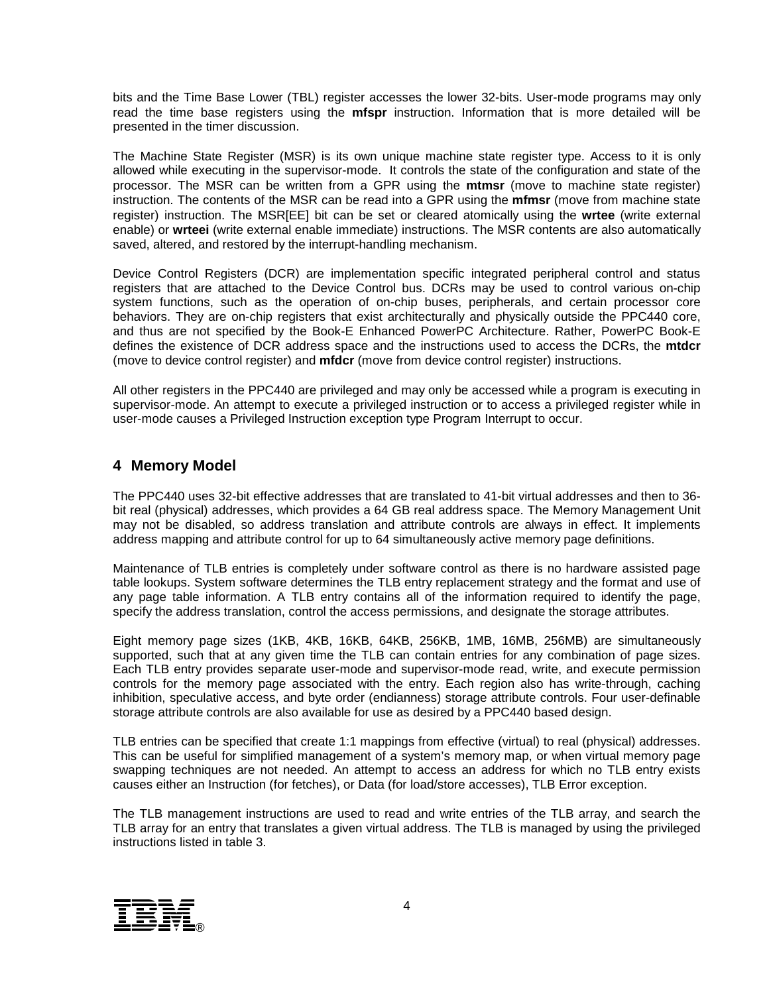bits and the Time Base Lower (TBL) register accesses the lower 32-bits. User-mode programs may only read the time base registers using the **mfspr** instruction. Information that is more detailed will be presented in the timer discussion.

The Machine State Register (MSR) is its own unique machine state register type. Access to it is only allowed while executing in the supervisor-mode. It controls the state of the configuration and state of the processor. The MSR can be written from a GPR using the **mtmsr** (move to machine state register) instruction. The contents of the MSR can be read into a GPR using the **mfmsr** (move from machine state register) instruction. The MSR[EE] bit can be set or cleared atomically using the **wrtee** (write external enable) or **wrteei** (write external enable immediate) instructions. The MSR contents are also automatically saved, altered, and restored by the interrupt-handling mechanism.

Device Control Registers (DCR) are implementation specific integrated peripheral control and status registers that are attached to the Device Control bus. DCRs may be used to control various on-chip system functions, such as the operation of on-chip buses, peripherals, and certain processor core behaviors. They are on-chip registers that exist architecturally and physically outside the PPC440 core, and thus are not specified by the Book-E Enhanced PowerPC Architecture. Rather, PowerPC Book-E defines the existence of DCR address space and the instructions used to access the DCRs, the **mtdcr**  (move to device control register) and **mfdcr** (move from device control register) instructions.

All other registers in the PPC440 are privileged and may only be accessed while a program is executing in supervisor-mode. An attempt to execute a privileged instruction or to access a privileged register while in user-mode causes a Privileged Instruction exception type Program Interrupt to occur.

#### **4 Memory Model**

The PPC440 uses 32-bit effective addresses that are translated to 41-bit virtual addresses and then to 36 bit real (physical) addresses, which provides a 64 GB real address space. The Memory Management Unit may not be disabled, so address translation and attribute controls are always in effect. It implements address mapping and attribute control for up to 64 simultaneously active memory page definitions.

Maintenance of TLB entries is completely under software control as there is no hardware assisted page table lookups. System software determines the TLB entry replacement strategy and the format and use of any page table information. A TLB entry contains all of the information required to identify the page, specify the address translation, control the access permissions, and designate the storage attributes.

Eight memory page sizes (1KB, 4KB, 16KB, 64KB, 256KB, 1MB, 16MB, 256MB) are simultaneously supported, such that at any given time the TLB can contain entries for any combination of page sizes. Each TLB entry provides separate user-mode and supervisor-mode read, write, and execute permission controls for the memory page associated with the entry. Each region also has write-through, caching inhibition, speculative access, and byte order (endianness) storage attribute controls. Four user-definable storage attribute controls are also available for use as desired by a PPC440 based design.

TLB entries can be specified that create 1:1 mappings from effective (virtual) to real (physical) addresses. This can be useful for simplified management of a system's memory map, or when virtual memory page swapping techniques are not needed. An attempt to access an address for which no TLB entry exists causes either an Instruction (for fetches), or Data (for load/store accesses), TLB Error exception.

The TLB management instructions are used to read and write entries of the TLB array, and search the TLB array for an entry that translates a given virtual address. The TLB is managed by using the privileged instructions listed in table 3.

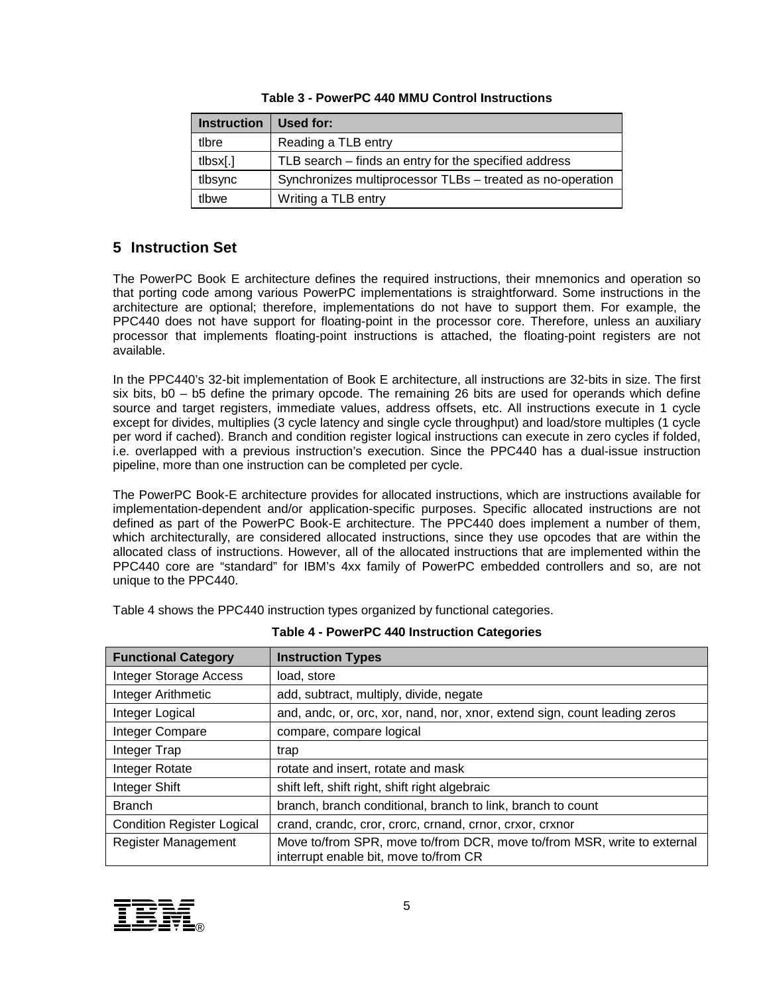| <b>Instruction</b>         | Used for:                                                  |
|----------------------------|------------------------------------------------------------|
| tlbre                      | Reading a TLB entry                                        |
| $t$ lbsx $\lceil . \rceil$ | TLB search – finds an entry for the specified address      |
| tlbsync                    | Synchronizes multiprocessor TLBs - treated as no-operation |
| tlbwe                      | Writing a TLB entry                                        |

#### **Table 3 - PowerPC 440 MMU Control Instructions**

## **5 Instruction Set**

The PowerPC Book E architecture defines the required instructions, their mnemonics and operation so that porting code among various PowerPC implementations is straightforward. Some instructions in the architecture are optional; therefore, implementations do not have to support them. For example, the PPC440 does not have support for floating-point in the processor core. Therefore, unless an auxiliary processor that implements floating-point instructions is attached, the floating-point registers are not available.

In the PPC440's 32-bit implementation of Book E architecture, all instructions are 32-bits in size. The first six bits, b0 – b5 define the primary opcode. The remaining 26 bits are used for operands which define source and target registers, immediate values, address offsets, etc. All instructions execute in 1 cycle except for divides, multiplies (3 cycle latency and single cycle throughput) and load/store multiples (1 cycle per word if cached). Branch and condition register logical instructions can execute in zero cycles if folded, i.e. overlapped with a previous instruction's execution. Since the PPC440 has a dual-issue instruction pipeline, more than one instruction can be completed per cycle.

The PowerPC Book-E architecture provides for allocated instructions, which are instructions available for implementation-dependent and/or application-specific purposes. Specific allocated instructions are not defined as part of the PowerPC Book-E architecture. The PPC440 does implement a number of them, which architecturally, are considered allocated instructions, since they use opcodes that are within the allocated class of instructions. However, all of the allocated instructions that are implemented within the PPC440 core are "standard" for IBM's 4xx family of PowerPC embedded controllers and so, are not unique to the PPC440.

Table 4 shows the PPC440 instruction types organized by functional categories.

| <b>Functional Category</b>        | <b>Instruction Types</b>                                                                                         |
|-----------------------------------|------------------------------------------------------------------------------------------------------------------|
| <b>Integer Storage Access</b>     | load, store                                                                                                      |
| Integer Arithmetic                | add, subtract, multiply, divide, negate                                                                          |
| Integer Logical                   | and, andc, or, orc, xor, nand, nor, xnor, extend sign, count leading zeros                                       |
| Integer Compare                   | compare, compare logical                                                                                         |
| Integer Trap                      | trap                                                                                                             |
| Integer Rotate                    | rotate and insert, rotate and mask                                                                               |
| Integer Shift                     | shift left, shift right, shift right algebraic                                                                   |
| <b>Branch</b>                     | branch, branch conditional, branch to link, branch to count                                                      |
| <b>Condition Register Logical</b> | crand, crandc, cror, crorc, crnand, crnor, crxor, crxnor                                                         |
| Register Management               | Move to/from SPR, move to/from DCR, move to/from MSR, write to external<br>interrupt enable bit, move to/from CR |

| <b>Table 4 - PowerPC 440 Instruction Categories</b> |  |  |
|-----------------------------------------------------|--|--|
|                                                     |  |  |

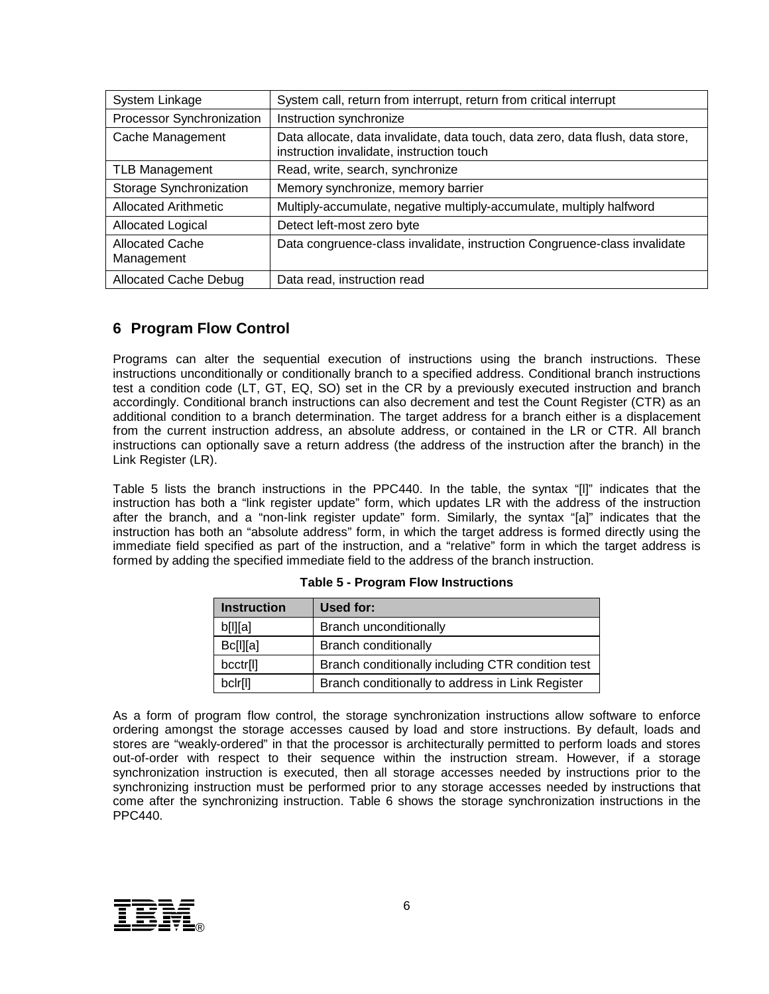| System Linkage                       | System call, return from interrupt, return from critical interrupt                                                          |
|--------------------------------------|-----------------------------------------------------------------------------------------------------------------------------|
| Processor Synchronization            | Instruction synchronize                                                                                                     |
| Cache Management                     | Data allocate, data invalidate, data touch, data zero, data flush, data store,<br>instruction invalidate, instruction touch |
| <b>TLB Management</b>                | Read, write, search, synchronize                                                                                            |
| Storage Synchronization              | Memory synchronize, memory barrier                                                                                          |
| <b>Allocated Arithmetic</b>          | Multiply-accumulate, negative multiply-accumulate, multiply halfword                                                        |
| Allocated Logical                    | Detect left-most zero byte                                                                                                  |
| <b>Allocated Cache</b><br>Management | Data congruence-class invalidate, instruction Congruence-class invalidate                                                   |
| <b>Allocated Cache Debug</b>         | Data read, instruction read                                                                                                 |

# **6 Program Flow Control**

Programs can alter the sequential execution of instructions using the branch instructions. These instructions unconditionally or conditionally branch to a specified address. Conditional branch instructions test a condition code (LT, GT, EQ, SO) set in the CR by a previously executed instruction and branch accordingly. Conditional branch instructions can also decrement and test the Count Register (CTR) as an additional condition to a branch determination. The target address for a branch either is a displacement from the current instruction address, an absolute address, or contained in the LR or CTR. All branch instructions can optionally save a return address (the address of the instruction after the branch) in the Link Register (LR).

Table 5 lists the branch instructions in the PPC440. In the table, the syntax "[l]" indicates that the instruction has both a "link register update" form, which updates LR with the address of the instruction after the branch, and a "non-link register update" form. Similarly, the syntax "[a]" indicates that the instruction has both an "absolute address" form, in which the target address is formed directly using the immediate field specified as part of the instruction, and a "relative" form in which the target address is formed by adding the specified immediate field to the address of the branch instruction.

| <b>Instruction</b>   | Used for:                                         |
|----------------------|---------------------------------------------------|
| b[1][a]              | <b>Branch unconditionally</b>                     |
| <b>Bc[l][a]</b>      | <b>Branch conditionally</b>                       |
| bcctr <sup>[1]</sup> | Branch conditionally including CTR condition test |
| bclr[l]              | Branch conditionally to address in Link Register  |

#### **Table 5 - Program Flow Instructions**

As a form of program flow control, the storage synchronization instructions allow software to enforce ordering amongst the storage accesses caused by load and store instructions. By default, loads and stores are "weakly-ordered" in that the processor is architecturally permitted to perform loads and stores out-of-order with respect to their sequence within the instruction stream. However, if a storage synchronization instruction is executed, then all storage accesses needed by instructions prior to the synchronizing instruction must be performed prior to any storage accesses needed by instructions that come after the synchronizing instruction. Table 6 shows the storage synchronization instructions in the PPC440.

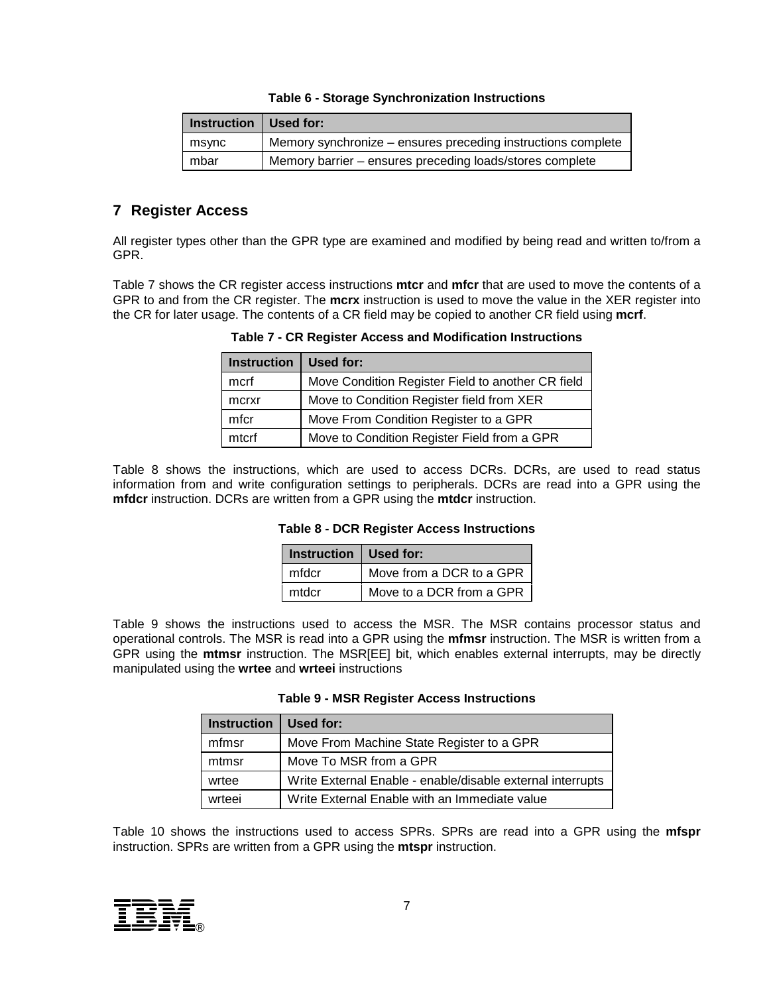#### **Table 6 - Storage Synchronization Instructions**

| Instruction $\vert$ Used for: |                                                              |
|-------------------------------|--------------------------------------------------------------|
| msync                         | Memory synchronize – ensures preceding instructions complete |
| mbar                          | Memory barrier – ensures preceding loads/stores complete     |

## **7 Register Access**

All register types other than the GPR type are examined and modified by being read and written to/from a GPR.

Table 7 shows the CR register access instructions **mtcr** and **mfcr** that are used to move the contents of a GPR to and from the CR register. The **mcrx** instruction is used to move the value in the XER register into the CR for later usage. The contents of a CR field may be copied to another CR field using **mcrf**.

**Table 7 - CR Register Access and Modification Instructions**

| <b>Instruction</b> | Used for:                                         |
|--------------------|---------------------------------------------------|
| mcrf               | Move Condition Register Field to another CR field |
| mcrxr              | Move to Condition Register field from XER         |
| mfcr               | Move From Condition Register to a GPR             |
| mtcrf              | Move to Condition Register Field from a GPR       |

Table 8 shows the instructions, which are used to access DCRs. DCRs, are used to read status information from and write configuration settings to peripherals. DCRs are read into a GPR using the **mfdcr** instruction. DCRs are written from a GPR using the **mtdcr** instruction.

#### **Table 8 - DCR Register Access Instructions**

| Instruction   Used for: |                          |
|-------------------------|--------------------------|
| mfdcr                   | Move from a DCR to a GPR |
| mtdcr                   | Move to a DCR from a GPR |

Table 9 shows the instructions used to access the MSR. The MSR contains processor status and operational controls. The MSR is read into a GPR using the **mfmsr** instruction. The MSR is written from a GPR using the **mtmsr** instruction. The MSR[EE] bit, which enables external interrupts, may be directly manipulated using the **wrtee** and **wrteei** instructions

| <b>Table 9 - MSR Register Access Instructions</b> |  |
|---------------------------------------------------|--|
|---------------------------------------------------|--|

| <b>Instruction</b> | Used for:                                                  |
|--------------------|------------------------------------------------------------|
| mfmsr              | Move From Machine State Register to a GPR                  |
| mtmsr              | Move To MSR from a GPR                                     |
| wrtee              | Write External Enable - enable/disable external interrupts |
| wrteei             | Write External Enable with an Immediate value              |

Table 10 shows the instructions used to access SPRs. SPRs are read into a GPR using the **mfspr**  instruction. SPRs are written from a GPR using the **mtspr** instruction.

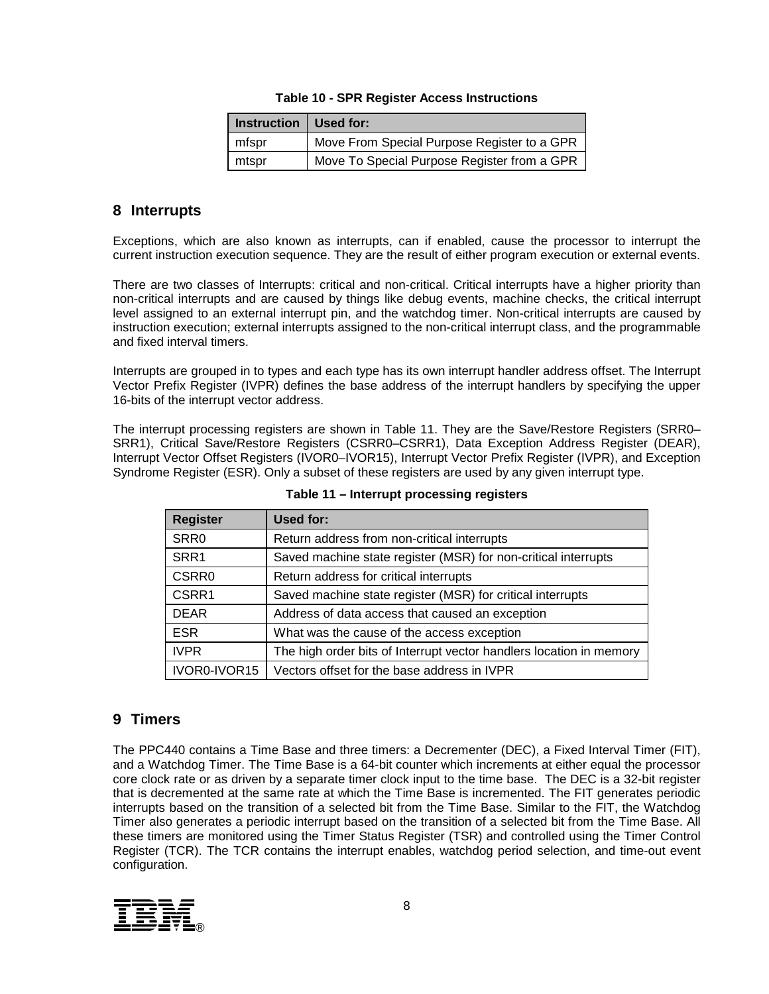|  | <b>Table 10 - SPR Register Access Instructions</b> |
|--|----------------------------------------------------|
|--|----------------------------------------------------|

| Instruction   Used for: |                                             |
|-------------------------|---------------------------------------------|
| mfspr                   | Move From Special Purpose Register to a GPR |
| mtspr                   | Move To Special Purpose Register from a GPR |

### **8 Interrupts**

Exceptions, which are also known as interrupts, can if enabled, cause the processor to interrupt the current instruction execution sequence. They are the result of either program execution or external events.

There are two classes of Interrupts: critical and non-critical. Critical interrupts have a higher priority than non-critical interrupts and are caused by things like debug events, machine checks, the critical interrupt level assigned to an external interrupt pin, and the watchdog timer. Non-critical interrupts are caused by instruction execution; external interrupts assigned to the non-critical interrupt class, and the programmable and fixed interval timers.

Interrupts are grouped in to types and each type has its own interrupt handler address offset. The Interrupt Vector Prefix Register (IVPR) defines the base address of the interrupt handlers by specifying the upper 16-bits of the interrupt vector address.

The interrupt processing registers are shown in Table 11. They are the Save/Restore Registers (SRR0– SRR1), Critical Save/Restore Registers (CSRR0–CSRR1), Data Exception Address Register (DEAR), Interrupt Vector Offset Registers (IVOR0–IVOR15), Interrupt Vector Prefix Register (IVPR), and Exception Syndrome Register (ESR). Only a subset of these registers are used by any given interrupt type.

| <b>Register</b>  | Used for:                                                           |
|------------------|---------------------------------------------------------------------|
| SRR <sub>0</sub> | Return address from non-critical interrupts                         |
| SRR1             | Saved machine state register (MSR) for non-critical interrupts      |
| <b>CSRR0</b>     | Return address for critical interrupts                              |
| CSRR1            | Saved machine state register (MSR) for critical interrupts          |
| <b>DEAR</b>      | Address of data access that caused an exception                     |
| <b>ESR</b>       | What was the cause of the access exception                          |
| <b>IVPR</b>      | The high order bits of Interrupt vector handlers location in memory |
| IVOR0-IVOR15     | Vectors offset for the base address in IVPR                         |

**Table 11 – Interrupt processing registers**

# **9 Timers**

The PPC440 contains a Time Base and three timers: a Decrementer (DEC), a Fixed Interval Timer (FIT), and a Watchdog Timer. The Time Base is a 64-bit counter which increments at either equal the processor core clock rate or as driven by a separate timer clock input to the time base. The DEC is a 32-bit register that is decremented at the same rate at which the Time Base is incremented. The FIT generates periodic interrupts based on the transition of a selected bit from the Time Base. Similar to the FIT, the Watchdog Timer also generates a periodic interrupt based on the transition of a selected bit from the Time Base. All these timers are monitored using the Timer Status Register (TSR) and controlled using the Timer Control Register (TCR). The TCR contains the interrupt enables, watchdog period selection, and time-out event configuration.

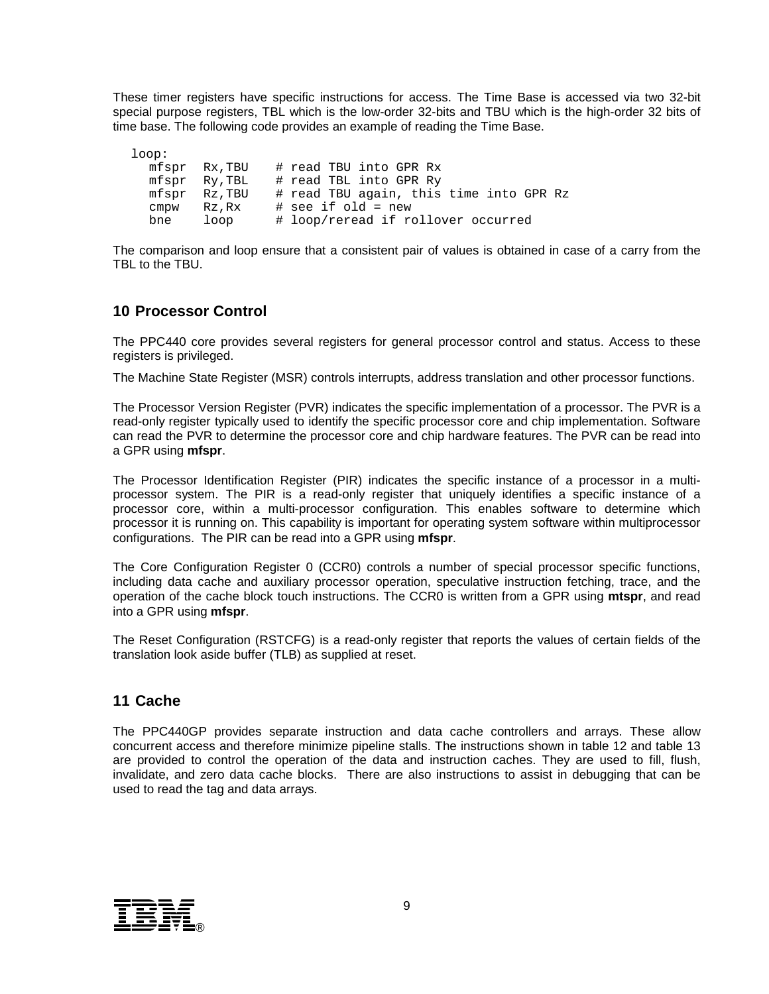These timer registers have specific instructions for access. The Time Base is accessed via two 32-bit special purpose registers, TBL which is the low-order 32-bits and TBU which is the high-order 32 bits of time base. The following code provides an example of reading the Time Base.

loop:<br>mfspr Rx,TBU # read TBU into GPR Rx<br>Ry,TBL # read TBL into GPR Ry mfspr Ry, TBL # read TBL into GPR Ry<br>mfspr Rz, TBU # read TBU again, this mfspr Rz,TBU # read TBU again, this time into GPR Rz cmpw  $Rz, Rx$  # see if old = new<br>bne  $loop$   $#$  loop/reread if ro # loop/reread if rollover occurred

The comparison and loop ensure that a consistent pair of values is obtained in case of a carry from the TBL to the TBU.

## **10 Processor Control**

The PPC440 core provides several registers for general processor control and status. Access to these registers is privileged.

The Machine State Register (MSR) controls interrupts, address translation and other processor functions.

The Processor Version Register (PVR) indicates the specific implementation of a processor. The PVR is a read-only register typically used to identify the specific processor core and chip implementation. Software can read the PVR to determine the processor core and chip hardware features. The PVR can be read into a GPR using **mfspr**.

The Processor Identification Register (PIR) indicates the specific instance of a processor in a multiprocessor system. The PIR is a read-only register that uniquely identifies a specific instance of a processor core, within a multi-processor configuration. This enables software to determine which processor it is running on. This capability is important for operating system software within multiprocessor configurations. The PIR can be read into a GPR using **mfspr**.

The Core Configuration Register 0 (CCR0) controls a number of special processor specific functions, including data cache and auxiliary processor operation, speculative instruction fetching, trace, and the operation of the cache block touch instructions. The CCR0 is written from a GPR using **mtspr**, and read into a GPR using **mfspr**.

The Reset Configuration (RSTCFG) is a read-only register that reports the values of certain fields of the translation look aside buffer (TLB) as supplied at reset.

#### **11 Cache**

The PPC440GP provides separate instruction and data cache controllers and arrays. These allow concurrent access and therefore minimize pipeline stalls. The instructions shown in table 12 and table 13 are provided to control the operation of the data and instruction caches. They are used to fill, flush, invalidate, and zero data cache blocks. There are also instructions to assist in debugging that can be used to read the tag and data arrays.

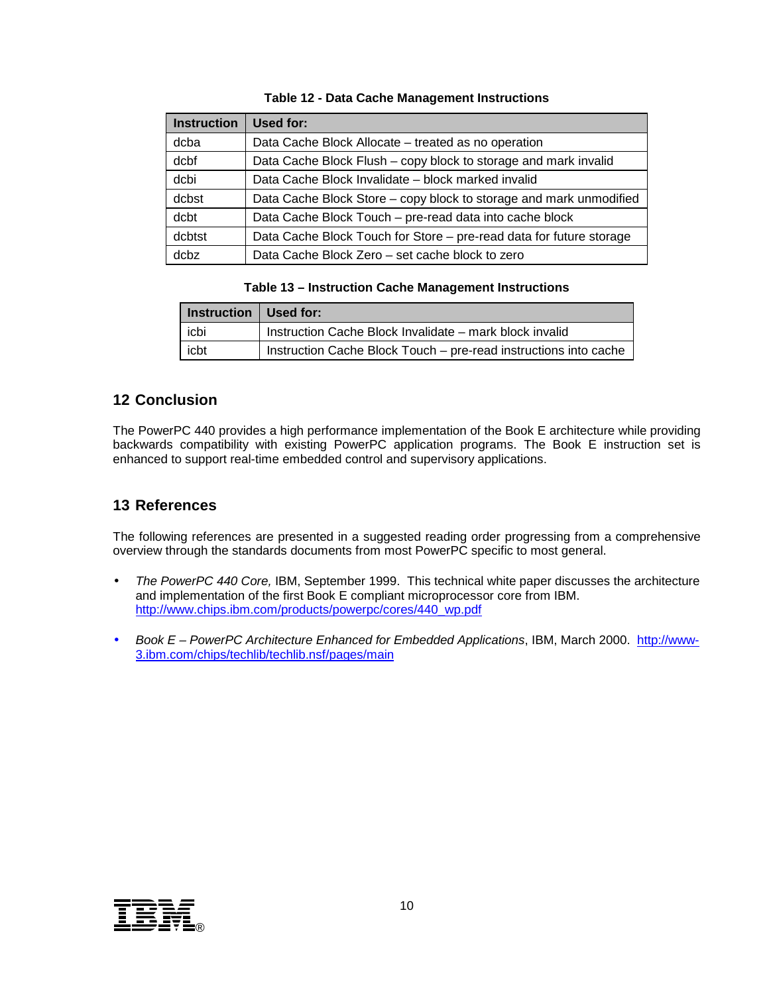| <b>Instruction</b> | Used for:                                                           |
|--------------------|---------------------------------------------------------------------|
| dcba               | Data Cache Block Allocate – treated as no operation                 |
| dcbf               | Data Cache Block Flush - copy block to storage and mark invalid     |
| dcbi               | Data Cache Block Invalidate - block marked invalid                  |
| dcbst              | Data Cache Block Store – copy block to storage and mark unmodified  |
| dcbt               | Data Cache Block Touch - pre-read data into cache block             |
| dcbtst             | Data Cache Block Touch for Store – pre-read data for future storage |
| dcbz               | Data Cache Block Zero - set cache block to zero                     |

#### **Table 12 - Data Cache Management Instructions**

#### **Table 13 – Instruction Cache Management Instructions**

| I Instruction   Used for: |                                                                  |
|---------------------------|------------------------------------------------------------------|
| icbi                      | Instruction Cache Block Invalidate - mark block invalid          |
| icbt                      | Instruction Cache Block Touch - pre-read instructions into cache |

#### **12 Conclusion**

The PowerPC 440 provides a high performance implementation of the Book E architecture while providing backwards compatibility with existing PowerPC application programs. The Book E instruction set is enhanced to support real-time embedded control and supervisory applications.

#### **13 References**

The following references are presented in a suggested reading order progressing from a comprehensive overview through the standards documents from most PowerPC specific to most general.

- *The PowerPC 440 Core,* IBM, September 1999. This technical white paper discusses the architecture and implementation of the first Book E compliant microprocessor core from IBM. http://www.chips.ibm.com/products/powerpc/cores/440\_wp.pdf
- Book E PowerPC Architecture Enhanced for Embedded Applications, IBM, March 2000. http://www-3.ibm.com/chips/techlib/techlib.nsf/pages/main